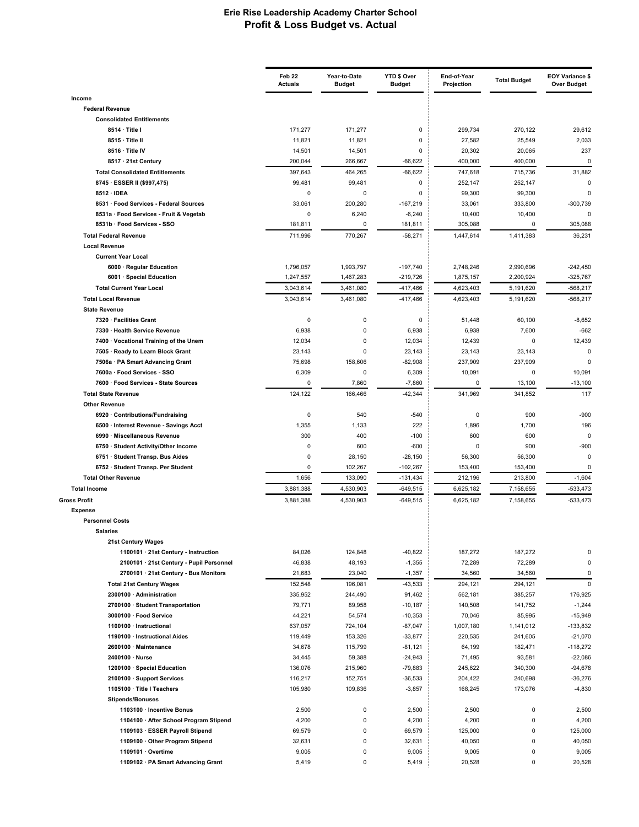|                                                          | Feb 22<br><b>Actuals</b> | Year-to-Date<br><b>Budget</b> | YTD \$ Over<br><b>Budget</b> | End-of-Year<br>Projection | <b>Total Budget</b>    | <b>EOY Variance \$</b><br>Over Budget |
|----------------------------------------------------------|--------------------------|-------------------------------|------------------------------|---------------------------|------------------------|---------------------------------------|
| Income                                                   |                          |                               |                              |                           |                        |                                       |
| <b>Federal Revenue</b>                                   |                          |                               |                              |                           |                        |                                       |
| <b>Consolidated Entitlements</b><br>8514 · Title I       | 171,277                  | 171,277                       | 0                            | 299,734                   | 270,122                | 29,612                                |
| 8515 · Title II                                          | 11,821                   | 11,821                        | 0                            | 27,582                    | 25,549                 | 2,033                                 |
| 8516 · Title IV                                          | 14,501                   | 14,501                        | 0                            | 20,302                    | 20,065                 | 237                                   |
| 8517 · 21st Century                                      | 200,044                  | 266,667                       | $-66,622$                    | 400,000                   | 400,000                | 0                                     |
| <b>Total Consolidated Entitlements</b>                   | 397,643                  | 464,265                       | $-66,622$                    | 747,618                   | 715,736                | 31,882                                |
| 8745 · ESSER II (\$997,475)                              | 99,481                   | 99,481                        | 0                            | 252,147                   | 252,147                | 0                                     |
| 8512 · IDEA                                              | 0                        | 0                             | 0                            | 99,300                    | 99,300                 | O                                     |
| 8531 · Food Services - Federal Sources                   | 33,061                   | 200,280                       | $-167,219$                   | 33,061                    | 333,800                | $-300,739$                            |
| 8531a · Food Services - Fruit & Vegetab                  | $\mathbf 0$              | 6,240                         | $-6,240$                     | 10,400                    | 10,400                 | 0                                     |
| 8531b · Food Services - SSO                              | 181,811                  | 0                             | 181,811                      | 305,088                   | 0                      | 305,088                               |
| <b>Total Federal Revenue</b>                             | 711,996                  | 770,267                       | $-58,271$                    | 1,447,614                 | 1,411,383              | 36,231                                |
| <b>Local Revenue</b>                                     |                          |                               |                              |                           |                        |                                       |
| <b>Current Year Local</b>                                |                          |                               |                              |                           |                        |                                       |
| 6000 · Regular Education<br>6001 · Special Education     | 1,796,057<br>1,247,557   | 1,993,797                     | $-197,740$<br>$-219,726$     | 2,748,246<br>1,875,157    | 2,990,696<br>2,200,924 | $-242,450$<br>$-325,767$              |
| <b>Total Current Year Local</b>                          | 3,043,614                | 1,467,283<br>3,461,080        | $-417,466$                   | 4,623,403                 | 5,191,620              | $-568,217$                            |
| <b>Total Local Revenue</b>                               |                          | 3.461.080                     |                              | 4,623,403                 | 5,191,620              | $-568,217$                            |
| <b>State Revenue</b>                                     | 3,043,614                |                               | $-417,466$                   |                           |                        |                                       |
| 7320 · Facilities Grant                                  | 0                        | 0                             | 0                            | 51,448                    | 60,100                 | $-8,652$                              |
| 7330 · Health Service Revenue                            | 6,938                    | 0                             | 6,938                        | 6,938                     | 7,600                  | $-662$                                |
| 7400 · Vocational Training of the Unem                   | 12,034                   | 0                             | 12,034                       | 12,439                    | 0                      | 12,439                                |
| 7505 · Ready to Learn Block Grant                        | 23,143                   | $\mathbf 0$                   | 23,143                       | 23,143                    | 23,143                 | 0                                     |
| 7506a · PA Smart Advancing Grant                         | 75,698                   | 158,606                       | $-82,908$                    | 237,909                   | 237,909                | 0                                     |
| 7600a · Food Services - SSO                              | 6,309                    | 0                             | 6,309                        | 10,091                    | 0                      | 10,091                                |
| 7600 · Food Services - State Sources                     | 0                        | 7,860                         | $-7,860$                     | $\mathbf 0$               | 13,100                 | $-13,100$                             |
| <b>Total State Revenue</b>                               | 124,122                  | 166,466                       | $-42,344$                    | 341,969                   | 341,852                | 117                                   |
| <b>Other Revenue</b>                                     |                          |                               |                              |                           |                        |                                       |
| 6920 · Contributions/Fundraising                         | $\pmb{0}$                | 540                           | $-540$                       | 0                         | 900                    | $-900$                                |
| 6500 · Interest Revenue - Savings Acct                   | 1,355                    | 1,133                         | 222                          | 1,896                     | 1,700                  | 196                                   |
| 6990 · Miscellaneous Revenue                             | 300                      | 400                           | $-100$                       | 600                       | 600                    | 0                                     |
| 6750 · Student Activity/Other Income                     | $\mathbf 0$              | 600                           | $-600$                       | 0                         | 900                    | $-900$                                |
| 6751 · Student Transp. Bus Aides                         | 0                        | 28,150                        | $-28,150$                    | 56,300                    | 56,300                 | $\Omega$                              |
| 6752 · Student Transp. Per Student                       | 0                        | 102,267                       | $-102,267$                   | 153,400                   | 153,400                | 0                                     |
| <b>Total Other Revenue</b><br><b>Total Income</b>        | 1,656<br>3,881,388       | 133,090<br>4,530,903          | $-131,434$<br>$-649,515$     | 212,196<br>6,625,182      | 213,800<br>7,158,655   | $-1,604$<br>$-533,473$                |
| <b>Gross Profit</b>                                      | 3,881,388                |                               |                              |                           |                        | $-533,473$                            |
| <b>Expense</b>                                           |                          | 4,530,903                     | $-649,515$                   | 6,625,182                 | 7,158,655              |                                       |
| <b>Personnel Costs</b>                                   |                          |                               |                              |                           |                        |                                       |
| <b>Salaries</b>                                          |                          |                               |                              |                           |                        |                                       |
| 21st Century Wages                                       |                          |                               |                              |                           |                        |                                       |
| 1100101 · 21st Century - Instruction                     | 84,026                   | 124,848                       | $-40,822$                    | 187,272                   | 187,272                | 0                                     |
| 2100101 · 21st Century - Pupil Personnel                 | 46,838                   | 48,193                        | $-1,355$                     | 72,289                    | 72,289                 | 0                                     |
| 2700101 · 21st Century - Bus Monitors                    | 21,683                   | 23,040                        | $-1,357$                     | 34,560                    | 34,560                 | 0                                     |
| <b>Total 21st Century Wages</b>                          | 152,548                  | 196,081                       | $-43,533$                    | 294,121                   | 294,121                | $\pmb{0}$                             |
| 2300100 · Administration                                 | 335,952                  | 244,490                       | 91,462                       | 562,181                   | 385,257                | 176,925                               |
| 2700100 · Student Transportation                         | 79,771                   | 89,958                        | $-10,187$                    | 140,508                   | 141,752                | $-1,244$                              |
| 3000100 · Food Service                                   | 44,221                   | 54,574                        | $-10,353$                    | 70,046                    | 85,995                 | $-15,949$                             |
| 1100100 · Instructional                                  | 637,057                  | 724,104                       | $-87,047$                    | 1,007,180                 | 1,141,012              | $-133,832$                            |
| 1190100 · Instructional Aides                            | 119,449                  | 153,326                       | $-33,877$                    | 220,535                   | 241,605                | $-21,070$                             |
| 2600100 · Maintenance                                    | 34,678                   | 115,799                       | $-81,121$                    | 64,199                    | 182,471                | $-118,272$                            |
| 2400100 · Nurse                                          | 34,445                   | 59,388                        | $-24,943$                    | 71,495                    | 93,581                 | $-22,086$<br>$-94,678$                |
| 1200100 · Special Education                              | 136,076<br>116,217       | 215,960<br>152,751            | -79,883<br>$-36,533$         | 245,622<br>204,422        | 340,300<br>240,698     | $-36,276$                             |
| 2100100 · Support Services<br>1105100 · Title I Teachers | 105,980                  | 109,836                       | $-3,857$                     | 168,245                   | 173,076                | $-4,830$                              |
| <b>Stipends/Bonuses</b>                                  |                          |                               |                              |                           |                        |                                       |
| 1103100 · Incentive Bonus                                | 2,500                    | $\pmb{0}$                     | 2,500                        | 2,500                     | $\mathsf 0$            | 2,500                                 |
| 1104100 · After School Program Stipend                   | 4,200                    | $\pmb{0}$                     | 4,200                        | 4,200                     | $\pmb{0}$              | 4,200                                 |
| 1109103 · ESSER Payroll Stipend                          | 69,579                   | 0                             | 69,579                       | 125,000                   | $\pmb{0}$              | 125,000                               |
| 1109100 · Other Program Stipend                          | 32,631                   | 0                             | 32,631                       | 40,050                    | $\pmb{0}$              | 40,050                                |
| 1109101 · Overtime                                       | 9,005                    | 0                             | 9,005                        | 9,005                     | $\pmb{0}$              | 9,005                                 |
| 1109102 · PA Smart Advancing Grant                       | 5,419                    | 0                             | 5,419                        | 20,528                    | 0                      | 20,528                                |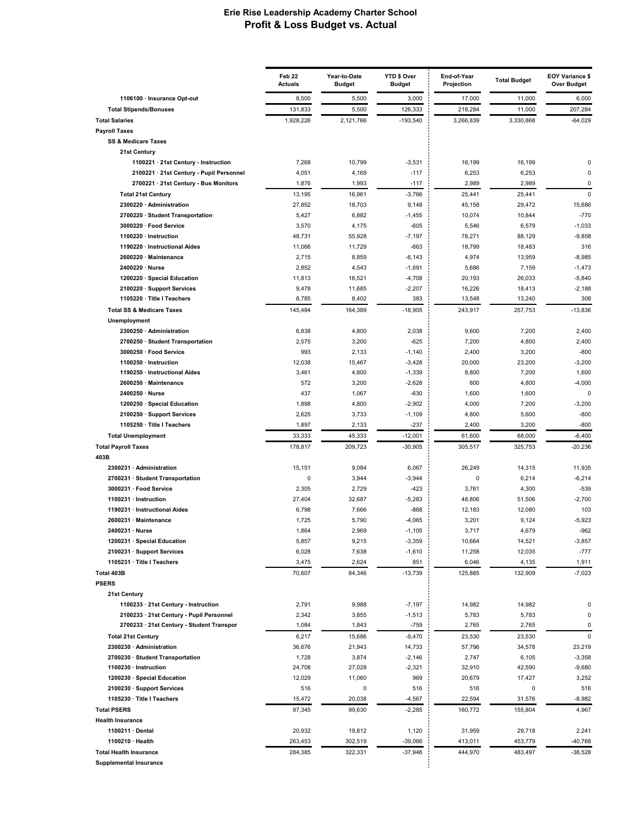| 1106100 · Insurance Opt-out<br>8,500<br>5,500<br>3,000<br>17,000<br>11,000<br>6,000<br>207,284<br><b>Total Stipends/Bonuses</b><br>131,833<br>5,500<br>126,333<br>218,284<br>11,000<br>1,928,226<br>$-193,540$<br>3,266,839<br>3,330,868<br>$-64,029$<br><b>Total Salaries</b><br>2,121,766<br><b>Payroll Taxes</b><br><b>SS &amp; Medicare Taxes</b><br>21st Century<br>7,268<br>1100221 · 21st Century - Instruction<br>10,799<br>$-3,531$<br>16,199<br>16,199<br>$\Omega$<br>2100221 · 21st Century - Pupil Personnel<br>4,051<br>4,169<br>$-117$<br>6,253<br>6,253<br>$\mathbf 0$<br>$\pmb{0}$<br>2700221 · 21st Century - Bus Monitors<br>1,876<br>1,993<br>$-117$<br>2,989<br>2,989<br>13,195<br>16,961<br>$-3,766$<br>25,441<br>25,441<br>$\mathbf 0$<br><b>Total 21st Century</b><br>2300220 · Administration<br>27,852<br>18,703<br>9,148<br>45,158<br>29,472<br>15,686<br>10,074<br>$-770$<br>2700220 · Student Transportation<br>5,427<br>6,882<br>$-1,455$<br>10,844<br>3000220 · Food Service<br>3,570<br>4,175<br>$-605$<br>5,546<br>6,579<br>$-1,033$<br>48,731<br>78,271<br>88,129<br>$-9,858$<br>1100220 · Instruction<br>55,928<br>$-7,197$<br>18,799<br>316<br>1190220 · Instructional Aides<br>11,066<br>11,729<br>$-663$<br>18,483<br>2600220 · Maintenance<br>2,715<br>8,859<br>$-6, 143$<br>4,974<br>13,959<br>$-8,985$<br>2,852<br>$-1,691$<br>$-1,473$<br>2400220 · Nurse<br>4,543<br>5,686<br>7,159<br>1200220 · Special Education<br>11,813<br>16,521<br>$-4,708$<br>20,193<br>26,033<br>$-5,840$<br>9,478<br>11,685<br>$-2,207$<br>16,226<br>18,413<br>$-2,188$<br>2100220 · Support Services<br>383<br>308<br>1105220 · Title I Teachers<br>8,785<br>8,402<br>13,548<br>13,240<br><b>Total SS &amp; Medicare Taxes</b><br>145.484<br>164,389<br>$-18,905$<br>243,917<br>257,753<br>$-13.836$<br>Unemployment<br>2300250 · Administration<br>6,838<br>4,800<br>2,038<br>9,600<br>7,200<br>2,400<br>2,575<br>$-625$<br>7,200<br>4,800<br>2,400<br>2700250 · Student Transportation<br>3,200<br>993<br>$-800$<br>3000250 · Food Service<br>2,133<br>$-1,140$<br>2,400<br>3,200<br>12,038<br>1100250 · Instruction<br>15,467<br>$-3,428$<br>20,000<br>23,200<br>$-3,200$<br>3,461<br>8,800<br>7,200<br>1,600<br>1190250 · Instructional Aides<br>4,800<br>$-1,339$<br>$-4,000$<br>2600250 · Maintenance<br>572<br>3,200<br>$-2,628$<br>800<br>4,800<br>$-630$<br>$\mathbf 0$<br>2400250 · Nurse<br>437<br>1,067<br>1,600<br>1,600<br>1200250 · Special Education<br>1,898<br>4,800<br>$-2,902$<br>4,000<br>7,200<br>$-3,200$<br>$-800$<br>2,625<br>3,733<br>$-1,109$<br>4,800<br>5,600<br>2100250 · Support Services<br>1105250 · Title I Teachers<br>1,897<br>2,133<br>$-237$<br>2,400<br>3,200<br>$-800$<br><b>Total Unemployment</b><br>33,333<br>45,333<br>$-12,001$<br>61,600<br>68,000<br>$-6,400$<br>325,753<br><b>Total Payroll Taxes</b><br>178,817<br>209,723<br>$-30,905$<br>305,517<br>$-20,236$<br>403B<br>15,151<br>9,084<br>26,249<br>11,935<br>2300231 · Administration<br>6,067<br>14,315<br>2700231 · Student Transportation<br>0<br>3,944<br>$-3,944$<br>0<br>6,214<br>$-6,214$<br>3000231 · Food Service<br>2,305<br>2,729<br>$-423$<br>3,761<br>4,300<br>$-539$<br>27,404<br>48,806<br>$-2,700$<br>1100231 · Instruction<br>32,687<br>$-5,283$<br>51,506<br>103<br>1190231 · Instructional Aides<br>6,798<br>7,666<br>$-868$<br>12,183<br>12,080<br>2600231 · Maintenance<br>1,725<br>5,790<br>$-4,065$<br>3,201<br>9,124<br>$-5,923$<br>1,864<br>2,969<br>$-1,105$<br>3,717<br>4,679<br>$-962$<br>2400231 · Nurse<br>1200231 · Special Education<br>9,215<br>$-3,359$<br>10,664<br>$-3,857$<br>5,857<br>14,521<br>2100231 · Support Services<br>6,028<br>7,638<br>$-1,610$<br>11,258<br>12,035<br>$-777$<br>1105231 · Title I Teachers<br>3,475<br>2,624<br>851<br>6,046<br>4,135<br>1,911<br>Total 403B<br>70,607<br>84,346<br>$-13,739$<br>125,885<br>132,909<br>$-7,023$<br><b>PSERS</b><br>21st Century<br>1100233 · 21st Century - Instruction<br>2,791<br>9,988<br>$-7,197$<br>14,982<br>0<br>14,982<br>$\pmb{0}$<br>2100233 · 21st Century - Pupil Personnel<br>2,342<br>3,855<br>5,783<br>5,783<br>$-1,513$<br>2700233 · 21st Century - Student Transpor<br>1,084<br>1,843<br>$-759$<br>2,765<br>2,765<br>0<br>$\mathbf 0$<br><b>Total 21st Century</b><br>6,217<br>15,686<br>$-9,470$<br>23,530<br>23,530<br>2300230 · Administration<br>36,676<br>57,796<br>34,578<br>23,219<br>21,943<br>14,733<br>2700230 · Student Transportation<br>1,728<br>3,874<br>$-2,146$<br>2,747<br>6,105<br>$-3,358$<br>1100230 · Instruction<br>24,708<br>27,028<br>$-2,321$<br>32,910<br>42,590<br>$-9,680$<br>1200230 · Special Education<br>12,029<br>969<br>20,679<br>3,252<br>11,060<br>17,427<br>2100230 · Support Services<br>516<br>0<br>516<br>516<br>0<br>516<br>1105230 · Title I Teachers<br>15,472<br>20,038<br>$-4,567$<br>22,594<br>31,576<br>$-8,982$<br>97,345<br><b>Total PSERS</b><br>99,630<br>$-2,285$<br>160,772<br>155,804<br>4,967<br><b>Health Insurance</b><br>1100211 · Dental<br>20,932<br>1,120<br>31,959<br>29,718<br>2,241<br>19,812<br>1100210 · Health<br>263,453<br>302,519<br>$-39,066$<br>413,011<br>453,779<br>$-40,768$<br><b>Total Health Insurance</b><br>284,385<br>322,331<br>$-37,946$<br>444,970<br>483,497<br>$-38,528$<br><b>Supplemental Insurance</b> | Feb 22<br><b>Actuals</b> | Year-to-Date<br><b>Budget</b> | YTD \$ Over<br><b>Budget</b> | End-of-Year<br>Projection | <b>Total Budget</b> | <b>EOY Variance \$</b><br><b>Over Budget</b> |
|---------------------------------------------------------------------------------------------------------------------------------------------------------------------------------------------------------------------------------------------------------------------------------------------------------------------------------------------------------------------------------------------------------------------------------------------------------------------------------------------------------------------------------------------------------------------------------------------------------------------------------------------------------------------------------------------------------------------------------------------------------------------------------------------------------------------------------------------------------------------------------------------------------------------------------------------------------------------------------------------------------------------------------------------------------------------------------------------------------------------------------------------------------------------------------------------------------------------------------------------------------------------------------------------------------------------------------------------------------------------------------------------------------------------------------------------------------------------------------------------------------------------------------------------------------------------------------------------------------------------------------------------------------------------------------------------------------------------------------------------------------------------------------------------------------------------------------------------------------------------------------------------------------------------------------------------------------------------------------------------------------------------------------------------------------------------------------------------------------------------------------------------------------------------------------------------------------------------------------------------------------------------------------------------------------------------------------------------------------------------------------------------------------------------------------------------------------------------------------------------------------------------------------------------------------------------------------------------------------------------------------------------------------------------------------------------------------------------------------------------------------------------------------------------------------------------------------------------------------------------------------------------------------------------------------------------------------------------------------------------------------------------------------------------------------------------------------------------------------------------------------------------------------------------------------------------------------------------------------------------------------------------------------------------------------------------------------------------------------------------------------------------------------------------------------------------------------------------------------------------------------------------------------------------------------------------------------------------------------------------------------------------------------------------------------------------------------------------------------------------------------------------------------------------------------------------------------------------------------------------------------------------------------------------------------------------------------------------------------------------------------------------------------------------------------------------------------------------------------------------------------------------------------------------------------------------------------------------------------------------------------------------------------------------------------------------------------------------------------------------------------------------------------------------------------------------------------------------------------------------------------------------------------------------------------------------------------------------------------------------------------------------------------------------------------------------------------------------------------------------------------------------------------------------------------------------------------------------------------------------------------------------------------------------------------------------------------------------------------------------------------------------------------------------------------------------------------------------------------------------------------------------------------------------------------------------------------------------------------------------------------------------------------------------------------------------------------------------|--------------------------|-------------------------------|------------------------------|---------------------------|---------------------|----------------------------------------------|
|                                                                                                                                                                                                                                                                                                                                                                                                                                                                                                                                                                                                                                                                                                                                                                                                                                                                                                                                                                                                                                                                                                                                                                                                                                                                                                                                                                                                                                                                                                                                                                                                                                                                                                                                                                                                                                                                                                                                                                                                                                                                                                                                                                                                                                                                                                                                                                                                                                                                                                                                                                                                                                                                                                                                                                                                                                                                                                                                                                                                                                                                                                                                                                                                                                                                                                                                                                                                                                                                                                                                                                                                                                                                                                                                                                                                                                                                                                                                                                                                                                                                                                                                                                                                                                                                                                                                                                                                                                                                                                                                                                                                                                                                                                                                                                                                                                                                                                                                                                                                                                                                                                                                                                                                                                                                                                                                             |                          |                               |                              |                           |                     |                                              |
|                                                                                                                                                                                                                                                                                                                                                                                                                                                                                                                                                                                                                                                                                                                                                                                                                                                                                                                                                                                                                                                                                                                                                                                                                                                                                                                                                                                                                                                                                                                                                                                                                                                                                                                                                                                                                                                                                                                                                                                                                                                                                                                                                                                                                                                                                                                                                                                                                                                                                                                                                                                                                                                                                                                                                                                                                                                                                                                                                                                                                                                                                                                                                                                                                                                                                                                                                                                                                                                                                                                                                                                                                                                                                                                                                                                                                                                                                                                                                                                                                                                                                                                                                                                                                                                                                                                                                                                                                                                                                                                                                                                                                                                                                                                                                                                                                                                                                                                                                                                                                                                                                                                                                                                                                                                                                                                                             |                          |                               |                              |                           |                     |                                              |
|                                                                                                                                                                                                                                                                                                                                                                                                                                                                                                                                                                                                                                                                                                                                                                                                                                                                                                                                                                                                                                                                                                                                                                                                                                                                                                                                                                                                                                                                                                                                                                                                                                                                                                                                                                                                                                                                                                                                                                                                                                                                                                                                                                                                                                                                                                                                                                                                                                                                                                                                                                                                                                                                                                                                                                                                                                                                                                                                                                                                                                                                                                                                                                                                                                                                                                                                                                                                                                                                                                                                                                                                                                                                                                                                                                                                                                                                                                                                                                                                                                                                                                                                                                                                                                                                                                                                                                                                                                                                                                                                                                                                                                                                                                                                                                                                                                                                                                                                                                                                                                                                                                                                                                                                                                                                                                                                             |                          |                               |                              |                           |                     |                                              |
|                                                                                                                                                                                                                                                                                                                                                                                                                                                                                                                                                                                                                                                                                                                                                                                                                                                                                                                                                                                                                                                                                                                                                                                                                                                                                                                                                                                                                                                                                                                                                                                                                                                                                                                                                                                                                                                                                                                                                                                                                                                                                                                                                                                                                                                                                                                                                                                                                                                                                                                                                                                                                                                                                                                                                                                                                                                                                                                                                                                                                                                                                                                                                                                                                                                                                                                                                                                                                                                                                                                                                                                                                                                                                                                                                                                                                                                                                                                                                                                                                                                                                                                                                                                                                                                                                                                                                                                                                                                                                                                                                                                                                                                                                                                                                                                                                                                                                                                                                                                                                                                                                                                                                                                                                                                                                                                                             |                          |                               |                              |                           |                     |                                              |
|                                                                                                                                                                                                                                                                                                                                                                                                                                                                                                                                                                                                                                                                                                                                                                                                                                                                                                                                                                                                                                                                                                                                                                                                                                                                                                                                                                                                                                                                                                                                                                                                                                                                                                                                                                                                                                                                                                                                                                                                                                                                                                                                                                                                                                                                                                                                                                                                                                                                                                                                                                                                                                                                                                                                                                                                                                                                                                                                                                                                                                                                                                                                                                                                                                                                                                                                                                                                                                                                                                                                                                                                                                                                                                                                                                                                                                                                                                                                                                                                                                                                                                                                                                                                                                                                                                                                                                                                                                                                                                                                                                                                                                                                                                                                                                                                                                                                                                                                                                                                                                                                                                                                                                                                                                                                                                                                             |                          |                               |                              |                           |                     |                                              |
|                                                                                                                                                                                                                                                                                                                                                                                                                                                                                                                                                                                                                                                                                                                                                                                                                                                                                                                                                                                                                                                                                                                                                                                                                                                                                                                                                                                                                                                                                                                                                                                                                                                                                                                                                                                                                                                                                                                                                                                                                                                                                                                                                                                                                                                                                                                                                                                                                                                                                                                                                                                                                                                                                                                                                                                                                                                                                                                                                                                                                                                                                                                                                                                                                                                                                                                                                                                                                                                                                                                                                                                                                                                                                                                                                                                                                                                                                                                                                                                                                                                                                                                                                                                                                                                                                                                                                                                                                                                                                                                                                                                                                                                                                                                                                                                                                                                                                                                                                                                                                                                                                                                                                                                                                                                                                                                                             |                          |                               |                              |                           |                     |                                              |
|                                                                                                                                                                                                                                                                                                                                                                                                                                                                                                                                                                                                                                                                                                                                                                                                                                                                                                                                                                                                                                                                                                                                                                                                                                                                                                                                                                                                                                                                                                                                                                                                                                                                                                                                                                                                                                                                                                                                                                                                                                                                                                                                                                                                                                                                                                                                                                                                                                                                                                                                                                                                                                                                                                                                                                                                                                                                                                                                                                                                                                                                                                                                                                                                                                                                                                                                                                                                                                                                                                                                                                                                                                                                                                                                                                                                                                                                                                                                                                                                                                                                                                                                                                                                                                                                                                                                                                                                                                                                                                                                                                                                                                                                                                                                                                                                                                                                                                                                                                                                                                                                                                                                                                                                                                                                                                                                             |                          |                               |                              |                           |                     |                                              |
|                                                                                                                                                                                                                                                                                                                                                                                                                                                                                                                                                                                                                                                                                                                                                                                                                                                                                                                                                                                                                                                                                                                                                                                                                                                                                                                                                                                                                                                                                                                                                                                                                                                                                                                                                                                                                                                                                                                                                                                                                                                                                                                                                                                                                                                                                                                                                                                                                                                                                                                                                                                                                                                                                                                                                                                                                                                                                                                                                                                                                                                                                                                                                                                                                                                                                                                                                                                                                                                                                                                                                                                                                                                                                                                                                                                                                                                                                                                                                                                                                                                                                                                                                                                                                                                                                                                                                                                                                                                                                                                                                                                                                                                                                                                                                                                                                                                                                                                                                                                                                                                                                                                                                                                                                                                                                                                                             |                          |                               |                              |                           |                     |                                              |
|                                                                                                                                                                                                                                                                                                                                                                                                                                                                                                                                                                                                                                                                                                                                                                                                                                                                                                                                                                                                                                                                                                                                                                                                                                                                                                                                                                                                                                                                                                                                                                                                                                                                                                                                                                                                                                                                                                                                                                                                                                                                                                                                                                                                                                                                                                                                                                                                                                                                                                                                                                                                                                                                                                                                                                                                                                                                                                                                                                                                                                                                                                                                                                                                                                                                                                                                                                                                                                                                                                                                                                                                                                                                                                                                                                                                                                                                                                                                                                                                                                                                                                                                                                                                                                                                                                                                                                                                                                                                                                                                                                                                                                                                                                                                                                                                                                                                                                                                                                                                                                                                                                                                                                                                                                                                                                                                             |                          |                               |                              |                           |                     |                                              |
|                                                                                                                                                                                                                                                                                                                                                                                                                                                                                                                                                                                                                                                                                                                                                                                                                                                                                                                                                                                                                                                                                                                                                                                                                                                                                                                                                                                                                                                                                                                                                                                                                                                                                                                                                                                                                                                                                                                                                                                                                                                                                                                                                                                                                                                                                                                                                                                                                                                                                                                                                                                                                                                                                                                                                                                                                                                                                                                                                                                                                                                                                                                                                                                                                                                                                                                                                                                                                                                                                                                                                                                                                                                                                                                                                                                                                                                                                                                                                                                                                                                                                                                                                                                                                                                                                                                                                                                                                                                                                                                                                                                                                                                                                                                                                                                                                                                                                                                                                                                                                                                                                                                                                                                                                                                                                                                                             |                          |                               |                              |                           |                     |                                              |
|                                                                                                                                                                                                                                                                                                                                                                                                                                                                                                                                                                                                                                                                                                                                                                                                                                                                                                                                                                                                                                                                                                                                                                                                                                                                                                                                                                                                                                                                                                                                                                                                                                                                                                                                                                                                                                                                                                                                                                                                                                                                                                                                                                                                                                                                                                                                                                                                                                                                                                                                                                                                                                                                                                                                                                                                                                                                                                                                                                                                                                                                                                                                                                                                                                                                                                                                                                                                                                                                                                                                                                                                                                                                                                                                                                                                                                                                                                                                                                                                                                                                                                                                                                                                                                                                                                                                                                                                                                                                                                                                                                                                                                                                                                                                                                                                                                                                                                                                                                                                                                                                                                                                                                                                                                                                                                                                             |                          |                               |                              |                           |                     |                                              |
|                                                                                                                                                                                                                                                                                                                                                                                                                                                                                                                                                                                                                                                                                                                                                                                                                                                                                                                                                                                                                                                                                                                                                                                                                                                                                                                                                                                                                                                                                                                                                                                                                                                                                                                                                                                                                                                                                                                                                                                                                                                                                                                                                                                                                                                                                                                                                                                                                                                                                                                                                                                                                                                                                                                                                                                                                                                                                                                                                                                                                                                                                                                                                                                                                                                                                                                                                                                                                                                                                                                                                                                                                                                                                                                                                                                                                                                                                                                                                                                                                                                                                                                                                                                                                                                                                                                                                                                                                                                                                                                                                                                                                                                                                                                                                                                                                                                                                                                                                                                                                                                                                                                                                                                                                                                                                                                                             |                          |                               |                              |                           |                     |                                              |
|                                                                                                                                                                                                                                                                                                                                                                                                                                                                                                                                                                                                                                                                                                                                                                                                                                                                                                                                                                                                                                                                                                                                                                                                                                                                                                                                                                                                                                                                                                                                                                                                                                                                                                                                                                                                                                                                                                                                                                                                                                                                                                                                                                                                                                                                                                                                                                                                                                                                                                                                                                                                                                                                                                                                                                                                                                                                                                                                                                                                                                                                                                                                                                                                                                                                                                                                                                                                                                                                                                                                                                                                                                                                                                                                                                                                                                                                                                                                                                                                                                                                                                                                                                                                                                                                                                                                                                                                                                                                                                                                                                                                                                                                                                                                                                                                                                                                                                                                                                                                                                                                                                                                                                                                                                                                                                                                             |                          |                               |                              |                           |                     |                                              |
|                                                                                                                                                                                                                                                                                                                                                                                                                                                                                                                                                                                                                                                                                                                                                                                                                                                                                                                                                                                                                                                                                                                                                                                                                                                                                                                                                                                                                                                                                                                                                                                                                                                                                                                                                                                                                                                                                                                                                                                                                                                                                                                                                                                                                                                                                                                                                                                                                                                                                                                                                                                                                                                                                                                                                                                                                                                                                                                                                                                                                                                                                                                                                                                                                                                                                                                                                                                                                                                                                                                                                                                                                                                                                                                                                                                                                                                                                                                                                                                                                                                                                                                                                                                                                                                                                                                                                                                                                                                                                                                                                                                                                                                                                                                                                                                                                                                                                                                                                                                                                                                                                                                                                                                                                                                                                                                                             |                          |                               |                              |                           |                     |                                              |
|                                                                                                                                                                                                                                                                                                                                                                                                                                                                                                                                                                                                                                                                                                                                                                                                                                                                                                                                                                                                                                                                                                                                                                                                                                                                                                                                                                                                                                                                                                                                                                                                                                                                                                                                                                                                                                                                                                                                                                                                                                                                                                                                                                                                                                                                                                                                                                                                                                                                                                                                                                                                                                                                                                                                                                                                                                                                                                                                                                                                                                                                                                                                                                                                                                                                                                                                                                                                                                                                                                                                                                                                                                                                                                                                                                                                                                                                                                                                                                                                                                                                                                                                                                                                                                                                                                                                                                                                                                                                                                                                                                                                                                                                                                                                                                                                                                                                                                                                                                                                                                                                                                                                                                                                                                                                                                                                             |                          |                               |                              |                           |                     |                                              |
|                                                                                                                                                                                                                                                                                                                                                                                                                                                                                                                                                                                                                                                                                                                                                                                                                                                                                                                                                                                                                                                                                                                                                                                                                                                                                                                                                                                                                                                                                                                                                                                                                                                                                                                                                                                                                                                                                                                                                                                                                                                                                                                                                                                                                                                                                                                                                                                                                                                                                                                                                                                                                                                                                                                                                                                                                                                                                                                                                                                                                                                                                                                                                                                                                                                                                                                                                                                                                                                                                                                                                                                                                                                                                                                                                                                                                                                                                                                                                                                                                                                                                                                                                                                                                                                                                                                                                                                                                                                                                                                                                                                                                                                                                                                                                                                                                                                                                                                                                                                                                                                                                                                                                                                                                                                                                                                                             |                          |                               |                              |                           |                     |                                              |
|                                                                                                                                                                                                                                                                                                                                                                                                                                                                                                                                                                                                                                                                                                                                                                                                                                                                                                                                                                                                                                                                                                                                                                                                                                                                                                                                                                                                                                                                                                                                                                                                                                                                                                                                                                                                                                                                                                                                                                                                                                                                                                                                                                                                                                                                                                                                                                                                                                                                                                                                                                                                                                                                                                                                                                                                                                                                                                                                                                                                                                                                                                                                                                                                                                                                                                                                                                                                                                                                                                                                                                                                                                                                                                                                                                                                                                                                                                                                                                                                                                                                                                                                                                                                                                                                                                                                                                                                                                                                                                                                                                                                                                                                                                                                                                                                                                                                                                                                                                                                                                                                                                                                                                                                                                                                                                                                             |                          |                               |                              |                           |                     |                                              |
|                                                                                                                                                                                                                                                                                                                                                                                                                                                                                                                                                                                                                                                                                                                                                                                                                                                                                                                                                                                                                                                                                                                                                                                                                                                                                                                                                                                                                                                                                                                                                                                                                                                                                                                                                                                                                                                                                                                                                                                                                                                                                                                                                                                                                                                                                                                                                                                                                                                                                                                                                                                                                                                                                                                                                                                                                                                                                                                                                                                                                                                                                                                                                                                                                                                                                                                                                                                                                                                                                                                                                                                                                                                                                                                                                                                                                                                                                                                                                                                                                                                                                                                                                                                                                                                                                                                                                                                                                                                                                                                                                                                                                                                                                                                                                                                                                                                                                                                                                                                                                                                                                                                                                                                                                                                                                                                                             |                          |                               |                              |                           |                     |                                              |
|                                                                                                                                                                                                                                                                                                                                                                                                                                                                                                                                                                                                                                                                                                                                                                                                                                                                                                                                                                                                                                                                                                                                                                                                                                                                                                                                                                                                                                                                                                                                                                                                                                                                                                                                                                                                                                                                                                                                                                                                                                                                                                                                                                                                                                                                                                                                                                                                                                                                                                                                                                                                                                                                                                                                                                                                                                                                                                                                                                                                                                                                                                                                                                                                                                                                                                                                                                                                                                                                                                                                                                                                                                                                                                                                                                                                                                                                                                                                                                                                                                                                                                                                                                                                                                                                                                                                                                                                                                                                                                                                                                                                                                                                                                                                                                                                                                                                                                                                                                                                                                                                                                                                                                                                                                                                                                                                             |                          |                               |                              |                           |                     |                                              |
|                                                                                                                                                                                                                                                                                                                                                                                                                                                                                                                                                                                                                                                                                                                                                                                                                                                                                                                                                                                                                                                                                                                                                                                                                                                                                                                                                                                                                                                                                                                                                                                                                                                                                                                                                                                                                                                                                                                                                                                                                                                                                                                                                                                                                                                                                                                                                                                                                                                                                                                                                                                                                                                                                                                                                                                                                                                                                                                                                                                                                                                                                                                                                                                                                                                                                                                                                                                                                                                                                                                                                                                                                                                                                                                                                                                                                                                                                                                                                                                                                                                                                                                                                                                                                                                                                                                                                                                                                                                                                                                                                                                                                                                                                                                                                                                                                                                                                                                                                                                                                                                                                                                                                                                                                                                                                                                                             |                          |                               |                              |                           |                     |                                              |
|                                                                                                                                                                                                                                                                                                                                                                                                                                                                                                                                                                                                                                                                                                                                                                                                                                                                                                                                                                                                                                                                                                                                                                                                                                                                                                                                                                                                                                                                                                                                                                                                                                                                                                                                                                                                                                                                                                                                                                                                                                                                                                                                                                                                                                                                                                                                                                                                                                                                                                                                                                                                                                                                                                                                                                                                                                                                                                                                                                                                                                                                                                                                                                                                                                                                                                                                                                                                                                                                                                                                                                                                                                                                                                                                                                                                                                                                                                                                                                                                                                                                                                                                                                                                                                                                                                                                                                                                                                                                                                                                                                                                                                                                                                                                                                                                                                                                                                                                                                                                                                                                                                                                                                                                                                                                                                                                             |                          |                               |                              |                           |                     |                                              |
|                                                                                                                                                                                                                                                                                                                                                                                                                                                                                                                                                                                                                                                                                                                                                                                                                                                                                                                                                                                                                                                                                                                                                                                                                                                                                                                                                                                                                                                                                                                                                                                                                                                                                                                                                                                                                                                                                                                                                                                                                                                                                                                                                                                                                                                                                                                                                                                                                                                                                                                                                                                                                                                                                                                                                                                                                                                                                                                                                                                                                                                                                                                                                                                                                                                                                                                                                                                                                                                                                                                                                                                                                                                                                                                                                                                                                                                                                                                                                                                                                                                                                                                                                                                                                                                                                                                                                                                                                                                                                                                                                                                                                                                                                                                                                                                                                                                                                                                                                                                                                                                                                                                                                                                                                                                                                                                                             |                          |                               |                              |                           |                     |                                              |
|                                                                                                                                                                                                                                                                                                                                                                                                                                                                                                                                                                                                                                                                                                                                                                                                                                                                                                                                                                                                                                                                                                                                                                                                                                                                                                                                                                                                                                                                                                                                                                                                                                                                                                                                                                                                                                                                                                                                                                                                                                                                                                                                                                                                                                                                                                                                                                                                                                                                                                                                                                                                                                                                                                                                                                                                                                                                                                                                                                                                                                                                                                                                                                                                                                                                                                                                                                                                                                                                                                                                                                                                                                                                                                                                                                                                                                                                                                                                                                                                                                                                                                                                                                                                                                                                                                                                                                                                                                                                                                                                                                                                                                                                                                                                                                                                                                                                                                                                                                                                                                                                                                                                                                                                                                                                                                                                             |                          |                               |                              |                           |                     |                                              |
|                                                                                                                                                                                                                                                                                                                                                                                                                                                                                                                                                                                                                                                                                                                                                                                                                                                                                                                                                                                                                                                                                                                                                                                                                                                                                                                                                                                                                                                                                                                                                                                                                                                                                                                                                                                                                                                                                                                                                                                                                                                                                                                                                                                                                                                                                                                                                                                                                                                                                                                                                                                                                                                                                                                                                                                                                                                                                                                                                                                                                                                                                                                                                                                                                                                                                                                                                                                                                                                                                                                                                                                                                                                                                                                                                                                                                                                                                                                                                                                                                                                                                                                                                                                                                                                                                                                                                                                                                                                                                                                                                                                                                                                                                                                                                                                                                                                                                                                                                                                                                                                                                                                                                                                                                                                                                                                                             |                          |                               |                              |                           |                     |                                              |
|                                                                                                                                                                                                                                                                                                                                                                                                                                                                                                                                                                                                                                                                                                                                                                                                                                                                                                                                                                                                                                                                                                                                                                                                                                                                                                                                                                                                                                                                                                                                                                                                                                                                                                                                                                                                                                                                                                                                                                                                                                                                                                                                                                                                                                                                                                                                                                                                                                                                                                                                                                                                                                                                                                                                                                                                                                                                                                                                                                                                                                                                                                                                                                                                                                                                                                                                                                                                                                                                                                                                                                                                                                                                                                                                                                                                                                                                                                                                                                                                                                                                                                                                                                                                                                                                                                                                                                                                                                                                                                                                                                                                                                                                                                                                                                                                                                                                                                                                                                                                                                                                                                                                                                                                                                                                                                                                             |                          |                               |                              |                           |                     |                                              |
|                                                                                                                                                                                                                                                                                                                                                                                                                                                                                                                                                                                                                                                                                                                                                                                                                                                                                                                                                                                                                                                                                                                                                                                                                                                                                                                                                                                                                                                                                                                                                                                                                                                                                                                                                                                                                                                                                                                                                                                                                                                                                                                                                                                                                                                                                                                                                                                                                                                                                                                                                                                                                                                                                                                                                                                                                                                                                                                                                                                                                                                                                                                                                                                                                                                                                                                                                                                                                                                                                                                                                                                                                                                                                                                                                                                                                                                                                                                                                                                                                                                                                                                                                                                                                                                                                                                                                                                                                                                                                                                                                                                                                                                                                                                                                                                                                                                                                                                                                                                                                                                                                                                                                                                                                                                                                                                                             |                          |                               |                              |                           |                     |                                              |
|                                                                                                                                                                                                                                                                                                                                                                                                                                                                                                                                                                                                                                                                                                                                                                                                                                                                                                                                                                                                                                                                                                                                                                                                                                                                                                                                                                                                                                                                                                                                                                                                                                                                                                                                                                                                                                                                                                                                                                                                                                                                                                                                                                                                                                                                                                                                                                                                                                                                                                                                                                                                                                                                                                                                                                                                                                                                                                                                                                                                                                                                                                                                                                                                                                                                                                                                                                                                                                                                                                                                                                                                                                                                                                                                                                                                                                                                                                                                                                                                                                                                                                                                                                                                                                                                                                                                                                                                                                                                                                                                                                                                                                                                                                                                                                                                                                                                                                                                                                                                                                                                                                                                                                                                                                                                                                                                             |                          |                               |                              |                           |                     |                                              |
|                                                                                                                                                                                                                                                                                                                                                                                                                                                                                                                                                                                                                                                                                                                                                                                                                                                                                                                                                                                                                                                                                                                                                                                                                                                                                                                                                                                                                                                                                                                                                                                                                                                                                                                                                                                                                                                                                                                                                                                                                                                                                                                                                                                                                                                                                                                                                                                                                                                                                                                                                                                                                                                                                                                                                                                                                                                                                                                                                                                                                                                                                                                                                                                                                                                                                                                                                                                                                                                                                                                                                                                                                                                                                                                                                                                                                                                                                                                                                                                                                                                                                                                                                                                                                                                                                                                                                                                                                                                                                                                                                                                                                                                                                                                                                                                                                                                                                                                                                                                                                                                                                                                                                                                                                                                                                                                                             |                          |                               |                              |                           |                     |                                              |
|                                                                                                                                                                                                                                                                                                                                                                                                                                                                                                                                                                                                                                                                                                                                                                                                                                                                                                                                                                                                                                                                                                                                                                                                                                                                                                                                                                                                                                                                                                                                                                                                                                                                                                                                                                                                                                                                                                                                                                                                                                                                                                                                                                                                                                                                                                                                                                                                                                                                                                                                                                                                                                                                                                                                                                                                                                                                                                                                                                                                                                                                                                                                                                                                                                                                                                                                                                                                                                                                                                                                                                                                                                                                                                                                                                                                                                                                                                                                                                                                                                                                                                                                                                                                                                                                                                                                                                                                                                                                                                                                                                                                                                                                                                                                                                                                                                                                                                                                                                                                                                                                                                                                                                                                                                                                                                                                             |                          |                               |                              |                           |                     |                                              |
|                                                                                                                                                                                                                                                                                                                                                                                                                                                                                                                                                                                                                                                                                                                                                                                                                                                                                                                                                                                                                                                                                                                                                                                                                                                                                                                                                                                                                                                                                                                                                                                                                                                                                                                                                                                                                                                                                                                                                                                                                                                                                                                                                                                                                                                                                                                                                                                                                                                                                                                                                                                                                                                                                                                                                                                                                                                                                                                                                                                                                                                                                                                                                                                                                                                                                                                                                                                                                                                                                                                                                                                                                                                                                                                                                                                                                                                                                                                                                                                                                                                                                                                                                                                                                                                                                                                                                                                                                                                                                                                                                                                                                                                                                                                                                                                                                                                                                                                                                                                                                                                                                                                                                                                                                                                                                                                                             |                          |                               |                              |                           |                     |                                              |
|                                                                                                                                                                                                                                                                                                                                                                                                                                                                                                                                                                                                                                                                                                                                                                                                                                                                                                                                                                                                                                                                                                                                                                                                                                                                                                                                                                                                                                                                                                                                                                                                                                                                                                                                                                                                                                                                                                                                                                                                                                                                                                                                                                                                                                                                                                                                                                                                                                                                                                                                                                                                                                                                                                                                                                                                                                                                                                                                                                                                                                                                                                                                                                                                                                                                                                                                                                                                                                                                                                                                                                                                                                                                                                                                                                                                                                                                                                                                                                                                                                                                                                                                                                                                                                                                                                                                                                                                                                                                                                                                                                                                                                                                                                                                                                                                                                                                                                                                                                                                                                                                                                                                                                                                                                                                                                                                             |                          |                               |                              |                           |                     |                                              |
|                                                                                                                                                                                                                                                                                                                                                                                                                                                                                                                                                                                                                                                                                                                                                                                                                                                                                                                                                                                                                                                                                                                                                                                                                                                                                                                                                                                                                                                                                                                                                                                                                                                                                                                                                                                                                                                                                                                                                                                                                                                                                                                                                                                                                                                                                                                                                                                                                                                                                                                                                                                                                                                                                                                                                                                                                                                                                                                                                                                                                                                                                                                                                                                                                                                                                                                                                                                                                                                                                                                                                                                                                                                                                                                                                                                                                                                                                                                                                                                                                                                                                                                                                                                                                                                                                                                                                                                                                                                                                                                                                                                                                                                                                                                                                                                                                                                                                                                                                                                                                                                                                                                                                                                                                                                                                                                                             |                          |                               |                              |                           |                     |                                              |
|                                                                                                                                                                                                                                                                                                                                                                                                                                                                                                                                                                                                                                                                                                                                                                                                                                                                                                                                                                                                                                                                                                                                                                                                                                                                                                                                                                                                                                                                                                                                                                                                                                                                                                                                                                                                                                                                                                                                                                                                                                                                                                                                                                                                                                                                                                                                                                                                                                                                                                                                                                                                                                                                                                                                                                                                                                                                                                                                                                                                                                                                                                                                                                                                                                                                                                                                                                                                                                                                                                                                                                                                                                                                                                                                                                                                                                                                                                                                                                                                                                                                                                                                                                                                                                                                                                                                                                                                                                                                                                                                                                                                                                                                                                                                                                                                                                                                                                                                                                                                                                                                                                                                                                                                                                                                                                                                             |                          |                               |                              |                           |                     |                                              |
|                                                                                                                                                                                                                                                                                                                                                                                                                                                                                                                                                                                                                                                                                                                                                                                                                                                                                                                                                                                                                                                                                                                                                                                                                                                                                                                                                                                                                                                                                                                                                                                                                                                                                                                                                                                                                                                                                                                                                                                                                                                                                                                                                                                                                                                                                                                                                                                                                                                                                                                                                                                                                                                                                                                                                                                                                                                                                                                                                                                                                                                                                                                                                                                                                                                                                                                                                                                                                                                                                                                                                                                                                                                                                                                                                                                                                                                                                                                                                                                                                                                                                                                                                                                                                                                                                                                                                                                                                                                                                                                                                                                                                                                                                                                                                                                                                                                                                                                                                                                                                                                                                                                                                                                                                                                                                                                                             |                          |                               |                              |                           |                     |                                              |
|                                                                                                                                                                                                                                                                                                                                                                                                                                                                                                                                                                                                                                                                                                                                                                                                                                                                                                                                                                                                                                                                                                                                                                                                                                                                                                                                                                                                                                                                                                                                                                                                                                                                                                                                                                                                                                                                                                                                                                                                                                                                                                                                                                                                                                                                                                                                                                                                                                                                                                                                                                                                                                                                                                                                                                                                                                                                                                                                                                                                                                                                                                                                                                                                                                                                                                                                                                                                                                                                                                                                                                                                                                                                                                                                                                                                                                                                                                                                                                                                                                                                                                                                                                                                                                                                                                                                                                                                                                                                                                                                                                                                                                                                                                                                                                                                                                                                                                                                                                                                                                                                                                                                                                                                                                                                                                                                             |                          |                               |                              |                           |                     |                                              |
|                                                                                                                                                                                                                                                                                                                                                                                                                                                                                                                                                                                                                                                                                                                                                                                                                                                                                                                                                                                                                                                                                                                                                                                                                                                                                                                                                                                                                                                                                                                                                                                                                                                                                                                                                                                                                                                                                                                                                                                                                                                                                                                                                                                                                                                                                                                                                                                                                                                                                                                                                                                                                                                                                                                                                                                                                                                                                                                                                                                                                                                                                                                                                                                                                                                                                                                                                                                                                                                                                                                                                                                                                                                                                                                                                                                                                                                                                                                                                                                                                                                                                                                                                                                                                                                                                                                                                                                                                                                                                                                                                                                                                                                                                                                                                                                                                                                                                                                                                                                                                                                                                                                                                                                                                                                                                                                                             |                          |                               |                              |                           |                     |                                              |
|                                                                                                                                                                                                                                                                                                                                                                                                                                                                                                                                                                                                                                                                                                                                                                                                                                                                                                                                                                                                                                                                                                                                                                                                                                                                                                                                                                                                                                                                                                                                                                                                                                                                                                                                                                                                                                                                                                                                                                                                                                                                                                                                                                                                                                                                                                                                                                                                                                                                                                                                                                                                                                                                                                                                                                                                                                                                                                                                                                                                                                                                                                                                                                                                                                                                                                                                                                                                                                                                                                                                                                                                                                                                                                                                                                                                                                                                                                                                                                                                                                                                                                                                                                                                                                                                                                                                                                                                                                                                                                                                                                                                                                                                                                                                                                                                                                                                                                                                                                                                                                                                                                                                                                                                                                                                                                                                             |                          |                               |                              |                           |                     |                                              |
|                                                                                                                                                                                                                                                                                                                                                                                                                                                                                                                                                                                                                                                                                                                                                                                                                                                                                                                                                                                                                                                                                                                                                                                                                                                                                                                                                                                                                                                                                                                                                                                                                                                                                                                                                                                                                                                                                                                                                                                                                                                                                                                                                                                                                                                                                                                                                                                                                                                                                                                                                                                                                                                                                                                                                                                                                                                                                                                                                                                                                                                                                                                                                                                                                                                                                                                                                                                                                                                                                                                                                                                                                                                                                                                                                                                                                                                                                                                                                                                                                                                                                                                                                                                                                                                                                                                                                                                                                                                                                                                                                                                                                                                                                                                                                                                                                                                                                                                                                                                                                                                                                                                                                                                                                                                                                                                                             |                          |                               |                              |                           |                     |                                              |
|                                                                                                                                                                                                                                                                                                                                                                                                                                                                                                                                                                                                                                                                                                                                                                                                                                                                                                                                                                                                                                                                                                                                                                                                                                                                                                                                                                                                                                                                                                                                                                                                                                                                                                                                                                                                                                                                                                                                                                                                                                                                                                                                                                                                                                                                                                                                                                                                                                                                                                                                                                                                                                                                                                                                                                                                                                                                                                                                                                                                                                                                                                                                                                                                                                                                                                                                                                                                                                                                                                                                                                                                                                                                                                                                                                                                                                                                                                                                                                                                                                                                                                                                                                                                                                                                                                                                                                                                                                                                                                                                                                                                                                                                                                                                                                                                                                                                                                                                                                                                                                                                                                                                                                                                                                                                                                                                             |                          |                               |                              |                           |                     |                                              |
|                                                                                                                                                                                                                                                                                                                                                                                                                                                                                                                                                                                                                                                                                                                                                                                                                                                                                                                                                                                                                                                                                                                                                                                                                                                                                                                                                                                                                                                                                                                                                                                                                                                                                                                                                                                                                                                                                                                                                                                                                                                                                                                                                                                                                                                                                                                                                                                                                                                                                                                                                                                                                                                                                                                                                                                                                                                                                                                                                                                                                                                                                                                                                                                                                                                                                                                                                                                                                                                                                                                                                                                                                                                                                                                                                                                                                                                                                                                                                                                                                                                                                                                                                                                                                                                                                                                                                                                                                                                                                                                                                                                                                                                                                                                                                                                                                                                                                                                                                                                                                                                                                                                                                                                                                                                                                                                                             |                          |                               |                              |                           |                     |                                              |
|                                                                                                                                                                                                                                                                                                                                                                                                                                                                                                                                                                                                                                                                                                                                                                                                                                                                                                                                                                                                                                                                                                                                                                                                                                                                                                                                                                                                                                                                                                                                                                                                                                                                                                                                                                                                                                                                                                                                                                                                                                                                                                                                                                                                                                                                                                                                                                                                                                                                                                                                                                                                                                                                                                                                                                                                                                                                                                                                                                                                                                                                                                                                                                                                                                                                                                                                                                                                                                                                                                                                                                                                                                                                                                                                                                                                                                                                                                                                                                                                                                                                                                                                                                                                                                                                                                                                                                                                                                                                                                                                                                                                                                                                                                                                                                                                                                                                                                                                                                                                                                                                                                                                                                                                                                                                                                                                             |                          |                               |                              |                           |                     |                                              |
|                                                                                                                                                                                                                                                                                                                                                                                                                                                                                                                                                                                                                                                                                                                                                                                                                                                                                                                                                                                                                                                                                                                                                                                                                                                                                                                                                                                                                                                                                                                                                                                                                                                                                                                                                                                                                                                                                                                                                                                                                                                                                                                                                                                                                                                                                                                                                                                                                                                                                                                                                                                                                                                                                                                                                                                                                                                                                                                                                                                                                                                                                                                                                                                                                                                                                                                                                                                                                                                                                                                                                                                                                                                                                                                                                                                                                                                                                                                                                                                                                                                                                                                                                                                                                                                                                                                                                                                                                                                                                                                                                                                                                                                                                                                                                                                                                                                                                                                                                                                                                                                                                                                                                                                                                                                                                                                                             |                          |                               |                              |                           |                     |                                              |
|                                                                                                                                                                                                                                                                                                                                                                                                                                                                                                                                                                                                                                                                                                                                                                                                                                                                                                                                                                                                                                                                                                                                                                                                                                                                                                                                                                                                                                                                                                                                                                                                                                                                                                                                                                                                                                                                                                                                                                                                                                                                                                                                                                                                                                                                                                                                                                                                                                                                                                                                                                                                                                                                                                                                                                                                                                                                                                                                                                                                                                                                                                                                                                                                                                                                                                                                                                                                                                                                                                                                                                                                                                                                                                                                                                                                                                                                                                                                                                                                                                                                                                                                                                                                                                                                                                                                                                                                                                                                                                                                                                                                                                                                                                                                                                                                                                                                                                                                                                                                                                                                                                                                                                                                                                                                                                                                             |                          |                               |                              |                           |                     |                                              |
|                                                                                                                                                                                                                                                                                                                                                                                                                                                                                                                                                                                                                                                                                                                                                                                                                                                                                                                                                                                                                                                                                                                                                                                                                                                                                                                                                                                                                                                                                                                                                                                                                                                                                                                                                                                                                                                                                                                                                                                                                                                                                                                                                                                                                                                                                                                                                                                                                                                                                                                                                                                                                                                                                                                                                                                                                                                                                                                                                                                                                                                                                                                                                                                                                                                                                                                                                                                                                                                                                                                                                                                                                                                                                                                                                                                                                                                                                                                                                                                                                                                                                                                                                                                                                                                                                                                                                                                                                                                                                                                                                                                                                                                                                                                                                                                                                                                                                                                                                                                                                                                                                                                                                                                                                                                                                                                                             |                          |                               |                              |                           |                     |                                              |
|                                                                                                                                                                                                                                                                                                                                                                                                                                                                                                                                                                                                                                                                                                                                                                                                                                                                                                                                                                                                                                                                                                                                                                                                                                                                                                                                                                                                                                                                                                                                                                                                                                                                                                                                                                                                                                                                                                                                                                                                                                                                                                                                                                                                                                                                                                                                                                                                                                                                                                                                                                                                                                                                                                                                                                                                                                                                                                                                                                                                                                                                                                                                                                                                                                                                                                                                                                                                                                                                                                                                                                                                                                                                                                                                                                                                                                                                                                                                                                                                                                                                                                                                                                                                                                                                                                                                                                                                                                                                                                                                                                                                                                                                                                                                                                                                                                                                                                                                                                                                                                                                                                                                                                                                                                                                                                                                             |                          |                               |                              |                           |                     |                                              |
|                                                                                                                                                                                                                                                                                                                                                                                                                                                                                                                                                                                                                                                                                                                                                                                                                                                                                                                                                                                                                                                                                                                                                                                                                                                                                                                                                                                                                                                                                                                                                                                                                                                                                                                                                                                                                                                                                                                                                                                                                                                                                                                                                                                                                                                                                                                                                                                                                                                                                                                                                                                                                                                                                                                                                                                                                                                                                                                                                                                                                                                                                                                                                                                                                                                                                                                                                                                                                                                                                                                                                                                                                                                                                                                                                                                                                                                                                                                                                                                                                                                                                                                                                                                                                                                                                                                                                                                                                                                                                                                                                                                                                                                                                                                                                                                                                                                                                                                                                                                                                                                                                                                                                                                                                                                                                                                                             |                          |                               |                              |                           |                     |                                              |
|                                                                                                                                                                                                                                                                                                                                                                                                                                                                                                                                                                                                                                                                                                                                                                                                                                                                                                                                                                                                                                                                                                                                                                                                                                                                                                                                                                                                                                                                                                                                                                                                                                                                                                                                                                                                                                                                                                                                                                                                                                                                                                                                                                                                                                                                                                                                                                                                                                                                                                                                                                                                                                                                                                                                                                                                                                                                                                                                                                                                                                                                                                                                                                                                                                                                                                                                                                                                                                                                                                                                                                                                                                                                                                                                                                                                                                                                                                                                                                                                                                                                                                                                                                                                                                                                                                                                                                                                                                                                                                                                                                                                                                                                                                                                                                                                                                                                                                                                                                                                                                                                                                                                                                                                                                                                                                                                             |                          |                               |                              |                           |                     |                                              |
|                                                                                                                                                                                                                                                                                                                                                                                                                                                                                                                                                                                                                                                                                                                                                                                                                                                                                                                                                                                                                                                                                                                                                                                                                                                                                                                                                                                                                                                                                                                                                                                                                                                                                                                                                                                                                                                                                                                                                                                                                                                                                                                                                                                                                                                                                                                                                                                                                                                                                                                                                                                                                                                                                                                                                                                                                                                                                                                                                                                                                                                                                                                                                                                                                                                                                                                                                                                                                                                                                                                                                                                                                                                                                                                                                                                                                                                                                                                                                                                                                                                                                                                                                                                                                                                                                                                                                                                                                                                                                                                                                                                                                                                                                                                                                                                                                                                                                                                                                                                                                                                                                                                                                                                                                                                                                                                                             |                          |                               |                              |                           |                     |                                              |
|                                                                                                                                                                                                                                                                                                                                                                                                                                                                                                                                                                                                                                                                                                                                                                                                                                                                                                                                                                                                                                                                                                                                                                                                                                                                                                                                                                                                                                                                                                                                                                                                                                                                                                                                                                                                                                                                                                                                                                                                                                                                                                                                                                                                                                                                                                                                                                                                                                                                                                                                                                                                                                                                                                                                                                                                                                                                                                                                                                                                                                                                                                                                                                                                                                                                                                                                                                                                                                                                                                                                                                                                                                                                                                                                                                                                                                                                                                                                                                                                                                                                                                                                                                                                                                                                                                                                                                                                                                                                                                                                                                                                                                                                                                                                                                                                                                                                                                                                                                                                                                                                                                                                                                                                                                                                                                                                             |                          |                               |                              |                           |                     |                                              |
|                                                                                                                                                                                                                                                                                                                                                                                                                                                                                                                                                                                                                                                                                                                                                                                                                                                                                                                                                                                                                                                                                                                                                                                                                                                                                                                                                                                                                                                                                                                                                                                                                                                                                                                                                                                                                                                                                                                                                                                                                                                                                                                                                                                                                                                                                                                                                                                                                                                                                                                                                                                                                                                                                                                                                                                                                                                                                                                                                                                                                                                                                                                                                                                                                                                                                                                                                                                                                                                                                                                                                                                                                                                                                                                                                                                                                                                                                                                                                                                                                                                                                                                                                                                                                                                                                                                                                                                                                                                                                                                                                                                                                                                                                                                                                                                                                                                                                                                                                                                                                                                                                                                                                                                                                                                                                                                                             |                          |                               |                              |                           |                     |                                              |
|                                                                                                                                                                                                                                                                                                                                                                                                                                                                                                                                                                                                                                                                                                                                                                                                                                                                                                                                                                                                                                                                                                                                                                                                                                                                                                                                                                                                                                                                                                                                                                                                                                                                                                                                                                                                                                                                                                                                                                                                                                                                                                                                                                                                                                                                                                                                                                                                                                                                                                                                                                                                                                                                                                                                                                                                                                                                                                                                                                                                                                                                                                                                                                                                                                                                                                                                                                                                                                                                                                                                                                                                                                                                                                                                                                                                                                                                                                                                                                                                                                                                                                                                                                                                                                                                                                                                                                                                                                                                                                                                                                                                                                                                                                                                                                                                                                                                                                                                                                                                                                                                                                                                                                                                                                                                                                                                             |                          |                               |                              |                           |                     |                                              |
|                                                                                                                                                                                                                                                                                                                                                                                                                                                                                                                                                                                                                                                                                                                                                                                                                                                                                                                                                                                                                                                                                                                                                                                                                                                                                                                                                                                                                                                                                                                                                                                                                                                                                                                                                                                                                                                                                                                                                                                                                                                                                                                                                                                                                                                                                                                                                                                                                                                                                                                                                                                                                                                                                                                                                                                                                                                                                                                                                                                                                                                                                                                                                                                                                                                                                                                                                                                                                                                                                                                                                                                                                                                                                                                                                                                                                                                                                                                                                                                                                                                                                                                                                                                                                                                                                                                                                                                                                                                                                                                                                                                                                                                                                                                                                                                                                                                                                                                                                                                                                                                                                                                                                                                                                                                                                                                                             |                          |                               |                              |                           |                     |                                              |
|                                                                                                                                                                                                                                                                                                                                                                                                                                                                                                                                                                                                                                                                                                                                                                                                                                                                                                                                                                                                                                                                                                                                                                                                                                                                                                                                                                                                                                                                                                                                                                                                                                                                                                                                                                                                                                                                                                                                                                                                                                                                                                                                                                                                                                                                                                                                                                                                                                                                                                                                                                                                                                                                                                                                                                                                                                                                                                                                                                                                                                                                                                                                                                                                                                                                                                                                                                                                                                                                                                                                                                                                                                                                                                                                                                                                                                                                                                                                                                                                                                                                                                                                                                                                                                                                                                                                                                                                                                                                                                                                                                                                                                                                                                                                                                                                                                                                                                                                                                                                                                                                                                                                                                                                                                                                                                                                             |                          |                               |                              |                           |                     |                                              |
|                                                                                                                                                                                                                                                                                                                                                                                                                                                                                                                                                                                                                                                                                                                                                                                                                                                                                                                                                                                                                                                                                                                                                                                                                                                                                                                                                                                                                                                                                                                                                                                                                                                                                                                                                                                                                                                                                                                                                                                                                                                                                                                                                                                                                                                                                                                                                                                                                                                                                                                                                                                                                                                                                                                                                                                                                                                                                                                                                                                                                                                                                                                                                                                                                                                                                                                                                                                                                                                                                                                                                                                                                                                                                                                                                                                                                                                                                                                                                                                                                                                                                                                                                                                                                                                                                                                                                                                                                                                                                                                                                                                                                                                                                                                                                                                                                                                                                                                                                                                                                                                                                                                                                                                                                                                                                                                                             |                          |                               |                              |                           |                     |                                              |
|                                                                                                                                                                                                                                                                                                                                                                                                                                                                                                                                                                                                                                                                                                                                                                                                                                                                                                                                                                                                                                                                                                                                                                                                                                                                                                                                                                                                                                                                                                                                                                                                                                                                                                                                                                                                                                                                                                                                                                                                                                                                                                                                                                                                                                                                                                                                                                                                                                                                                                                                                                                                                                                                                                                                                                                                                                                                                                                                                                                                                                                                                                                                                                                                                                                                                                                                                                                                                                                                                                                                                                                                                                                                                                                                                                                                                                                                                                                                                                                                                                                                                                                                                                                                                                                                                                                                                                                                                                                                                                                                                                                                                                                                                                                                                                                                                                                                                                                                                                                                                                                                                                                                                                                                                                                                                                                                             |                          |                               |                              |                           |                     |                                              |
|                                                                                                                                                                                                                                                                                                                                                                                                                                                                                                                                                                                                                                                                                                                                                                                                                                                                                                                                                                                                                                                                                                                                                                                                                                                                                                                                                                                                                                                                                                                                                                                                                                                                                                                                                                                                                                                                                                                                                                                                                                                                                                                                                                                                                                                                                                                                                                                                                                                                                                                                                                                                                                                                                                                                                                                                                                                                                                                                                                                                                                                                                                                                                                                                                                                                                                                                                                                                                                                                                                                                                                                                                                                                                                                                                                                                                                                                                                                                                                                                                                                                                                                                                                                                                                                                                                                                                                                                                                                                                                                                                                                                                                                                                                                                                                                                                                                                                                                                                                                                                                                                                                                                                                                                                                                                                                                                             |                          |                               |                              |                           |                     |                                              |
|                                                                                                                                                                                                                                                                                                                                                                                                                                                                                                                                                                                                                                                                                                                                                                                                                                                                                                                                                                                                                                                                                                                                                                                                                                                                                                                                                                                                                                                                                                                                                                                                                                                                                                                                                                                                                                                                                                                                                                                                                                                                                                                                                                                                                                                                                                                                                                                                                                                                                                                                                                                                                                                                                                                                                                                                                                                                                                                                                                                                                                                                                                                                                                                                                                                                                                                                                                                                                                                                                                                                                                                                                                                                                                                                                                                                                                                                                                                                                                                                                                                                                                                                                                                                                                                                                                                                                                                                                                                                                                                                                                                                                                                                                                                                                                                                                                                                                                                                                                                                                                                                                                                                                                                                                                                                                                                                             |                          |                               |                              |                           |                     |                                              |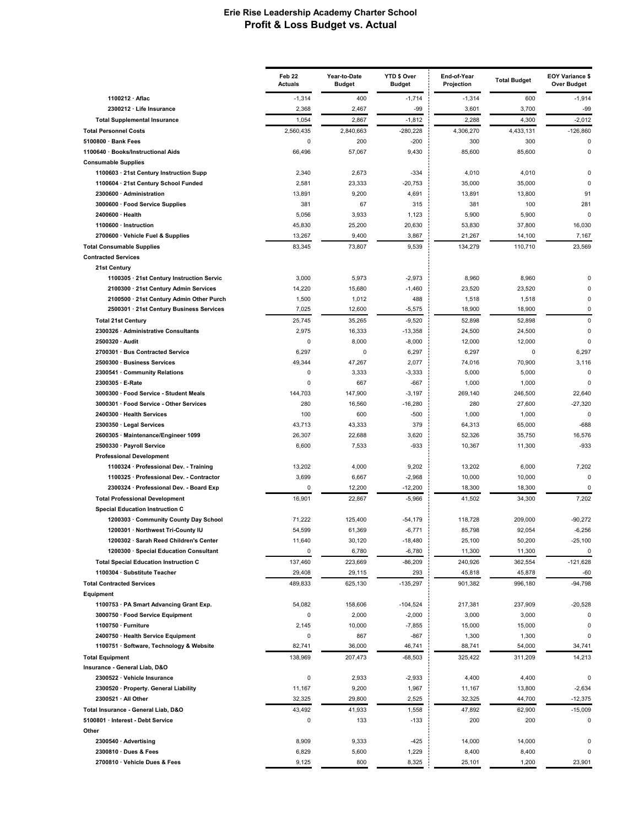|                                                                                 | Feb 22<br><b>Actuals</b> | Year-to-Date<br>Budget | YTD \$ Over<br><b>Budget</b> | End-of-Year<br>Projection | <b>Total Budget</b> | <b>EOY Variance \$</b><br><b>Over Budget</b> |
|---------------------------------------------------------------------------------|--------------------------|------------------------|------------------------------|---------------------------|---------------------|----------------------------------------------|
| 1100212 · Aflac                                                                 | $-1,314$                 | 400                    | $-1,714$                     | $-1,314$                  | 600                 | $-1,914$                                     |
| 2300212 · Life Insurance                                                        | 2,368                    | 2,467                  | $-99$                        | 3,601                     | 3,700               | $-99$                                        |
| <b>Total Supplemental Insurance</b>                                             | 1,054                    | 2,867                  | $-1,812$                     | 2,288                     | 4,300               | $-2,012$                                     |
| <b>Total Personnel Costs</b>                                                    | 2,560,435                | 2,840,663              | $-280,228$                   | 4,306,270                 | 4,433,131           | $-126,860$                                   |
| 5100800 · Bank Fees                                                             | 0                        | 200                    | $-200$                       | 300                       | 300                 | 0                                            |
| 1100640 · Books/Instructional Aids                                              | 66,496                   | 57,067                 | 9,430                        | 85,600                    | 85,600              | $\mathbf 0$                                  |
| <b>Consumable Supplies</b>                                                      |                          |                        |                              |                           |                     |                                              |
| 1100603 · 21st Century Instruction Supp                                         | 2,340<br>2,581           | 2,673<br>23,333        | $-334$<br>$-20,753$          | 4,010<br>35,000           | 4,010<br>35,000     | 0<br>$\Omega$                                |
| 1100604 · 21st Century School Funded<br>2300600 · Administration                | 13,891                   | 9,200                  | 4,691                        | 13,891                    | 13,800              | 91                                           |
| 3000600 · Food Service Supplies                                                 | 381                      | 67                     | 315                          | 381                       | 100                 | 281                                          |
| 2400600 · Health                                                                | 5,056                    | 3,933                  | 1,123                        | 5,900                     | 5,900               | $\Omega$                                     |
| 1100600 · Instruction                                                           | 45,830                   | 25,200                 | 20,630                       | 53,830                    | 37,800              | 16,030                                       |
| 2700600 · Vehicle Fuel & Supplies                                               | 13,267                   | 9,400                  | 3,867                        | 21,267                    | 14,100              | 7,167                                        |
| <b>Total Consumable Supplies</b>                                                | 83,345                   | 73,807                 | 9,539                        | 134,279                   | 110,710             | 23,569                                       |
| <b>Contracted Services</b>                                                      |                          |                        |                              |                           |                     |                                              |
| 21st Century                                                                    |                          |                        |                              |                           |                     |                                              |
| 1100305 · 21st Century Instruction Servic                                       | 3,000                    | 5,973                  | $-2,973$                     | 8,960                     | 8,960               | 0                                            |
| 2100300 · 21st Century Admin Services                                           | 14,220                   | 15,680                 | $-1,460$                     | 23,520                    | 23,520              | $\Omega$                                     |
| 2100500 · 21st Century Admin Other Purch                                        | 1,500                    | 1,012                  | 488                          | 1,518                     | 1,518               | 0                                            |
| 2500301 · 21st Century Business Services                                        | 7,025                    | 12,600                 | $-5,575$                     | 18,900                    | 18,900              | 0                                            |
| <b>Total 21st Century</b>                                                       | 25,745                   | 35,265                 | $-9,520$                     | 52,898                    | 52,898              | $\Omega$                                     |
| 2300326 · Administrative Consultants                                            | 2,975                    | 16,333                 | $-13,358$                    | 24,500                    | 24,500              | $\mathbf 0$                                  |
| 2500320 · Audit                                                                 | 0<br>6,297               | 8,000<br>0             | $-8,000$                     | 12,000                    | 12,000<br>0         | 0<br>6,297                                   |
| 2700301 · Bus Contracted Service<br>2500300 · Business Services                 | 49,344                   | 47,267                 | 6,297<br>2,077               | 6,297<br>74,016           | 70,900              | 3,116                                        |
| 2300541 · Community Relations                                                   | 0                        | 3,333                  | $-3,333$                     | 5,000                     | 5,000               | 0                                            |
| 2300305 · E-Rate                                                                | 0                        | 667                    | $-667$                       | 1,000                     | 1,000               | $\Omega$                                     |
| 3000300 · Food Service - Student Meals                                          | 144,703                  | 147,900                | $-3,197$                     | 269,140                   | 246,500             | 22,640                                       |
| 3000301 · Food Service - Other Services                                         | 280                      | 16,560                 | $-16,280$                    | 280                       | 27,600              | $-27,320$                                    |
| 2400300 · Health Services                                                       | 100                      | 600                    | $-500$                       | 1,000                     | 1,000               | $\Omega$                                     |
| 2300350 · Legal Services                                                        | 43,713                   | 43,333                 | 379                          | 64,313                    | 65,000              | $-688$                                       |
| 2600305 · Maintenance/Engineer 1099                                             | 26,307                   | 22,688                 | 3,620                        | 52,326                    | 35,750              | 16,576                                       |
| 2500330 · Payroll Service                                                       | 6,600                    | 7,533                  | $-933$                       | 10,367                    | 11,300              | $-933$                                       |
| <b>Professional Development</b>                                                 |                          |                        |                              |                           |                     |                                              |
| 1100324 · Professional Dev. - Training                                          | 13,202                   | 4,000                  | 9,202                        | 13,202                    | 6,000               | 7,202                                        |
| 1100325 · Professional Dev. - Contractor                                        | 3,699                    | 6,667                  | $-2,968$                     | 10,000                    | 10,000              | $\Omega$                                     |
| 2300324 · Professional Dev. - Board Exp                                         | 0                        | 12,200                 | $-12,200$                    | 18,300                    | 18,300              | 0                                            |
| <b>Total Professional Development</b>                                           | 16,901                   | 22,867                 | $-5,966$                     | 41,502                    | 34,300              | 7,202                                        |
| <b>Special Education Instruction C</b><br>1200303 · Community County Day School | 71.222                   | 125,400                | $-54,179$                    | 118,728                   | 209,000             | $-90,272$                                    |
| 1200301 · Northwest Tri-County IU                                               | 54,599                   | 61,369                 | $-6,771$                     | 85,798                    | 92,054              | $-6,256$                                     |
| 1200302 · Sarah Reed Children's Center                                          | 11,640                   | 30,120                 | $-18,480$                    | 25,100                    | 50,200              | $-25,100$                                    |
| 1200300 · Special Education Consultant                                          | 0                        | 6,780                  | $-6,780$                     | 11,300                    | 11,300              | 0                                            |
| <b>Total Special Education Instruction C</b>                                    | 137,460                  | 223,669                | $-86,209$                    | 240,926                   | 362,554             | $-121,628$                                   |
| 1100304 · Substitute Teacher                                                    | 29,408                   | 29,115                 | 293                          | 45,818                    | 45,878              | -60                                          |
| <b>Total Contracted Services</b>                                                | 489,833                  | 625,130                | $-135,297$                   | 901,382                   | 996,180             | $-94,798$                                    |
| Equipment                                                                       |                          |                        |                              |                           |                     |                                              |
| 1100753 · PA Smart Advancing Grant Exp.                                         | 54,082                   | 158,606                | $-104,524$                   | 217,381                   | 237,909             | $-20,528$                                    |
| 3000750 · Food Service Equipment                                                | 0                        | 2,000                  | $-2,000$                     | 3,000                     | 3,000               | 0                                            |
| 1100750 · Furniture                                                             | 2,145                    | 10,000                 | $-7,855$                     | 15,000                    | 15,000              | 0                                            |
| 2400750 · Health Service Equipment                                              | 0                        | 867                    | -867                         | 1,300                     | 1,300               | 0                                            |
| 1100751 · Software, Technology & Website                                        | 82,741                   | 36,000                 | 46,741                       | 88,741                    | 54,000              | 34,741                                       |
| <b>Total Equipment</b>                                                          | 138,969                  | 207,473                | $-68,503$                    | 325,422                   | 311,209             | 14,213                                       |
| Insurance - General Liab, D&O                                                   |                          |                        |                              |                           |                     |                                              |
| 2300522 · Vehicle Insurance                                                     | 0                        | 2,933                  | $-2,933$                     | 4,400                     | 4,400               | 0                                            |
| 2300520 · Property. General Liability<br>2300521 · All Other                    | 11,167<br>32,325         | 9,200<br>29,800        | 1,967<br>2,525               | 11,167<br>32,325          | 13,800<br>44,700    | $-2,634$<br>$-12,375$                        |
|                                                                                 |                          |                        |                              |                           |                     |                                              |
| Total Insurance - General Liab, D&O<br>5100801 · Interest - Debt Service        | 43,492<br>0              | 41,933<br>133          | 1,558<br>$-133$              | 47,892<br>200             | 62,900<br>200       | $-15,009$<br>$\Omega$                        |
| Other                                                                           |                          |                        |                              |                           |                     |                                              |
| 2300540 · Advertising                                                           | 8,909                    | 9,333                  | $-425$                       | 14,000                    | 14,000              | 0                                            |
| 2300810 · Dues & Fees                                                           | 6,829                    | 5,600                  | 1,229                        | 8,400                     | 8,400               | $\Omega$                                     |
| 2700810 · Vehicle Dues & Fees                                                   | 9,125                    | 800                    | 8,325                        | 25,101                    | 1,200               | 23,901                                       |
|                                                                                 |                          |                        |                              |                           |                     |                                              |